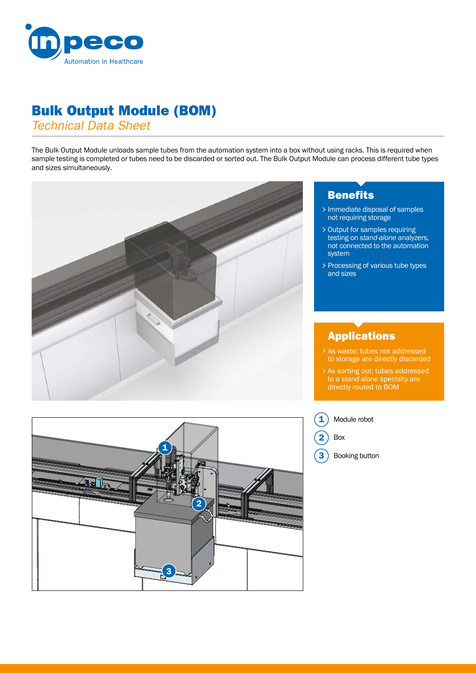

## Bulk Output Module (BOM)

*Technical Data Sheet*

The Bulk Output Module unloads sample tubes from the automation system into a box without using racks. This is required when sample testing is completed or tubes need to be discarded or sorted out. The Bulk Output Module can process different tube types and sizes simultaneously.



### **Benefits**

- Immediate disposal of samples > not requiring storage
- Output for samples requiring > testing on *stand-alone* analyzers, not connected to the automation system
- > Processing of various tube types and sizes

#### Applications

- As waste: tubes not addressed > As waste: tubes not addressed<br>to storage are directly discarded
- As sorting out: tubes addressed > to a *stand-alone* specialty are directly routed to BOM



Module robot

Box 2

1

Booking button